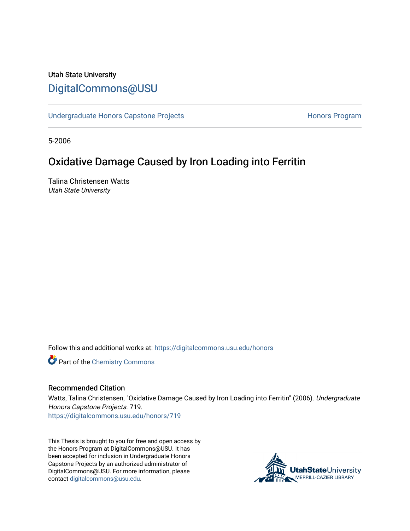# Utah State University [DigitalCommons@USU](https://digitalcommons.usu.edu/)

[Undergraduate Honors Capstone Projects](https://digitalcommons.usu.edu/honors) **Honors Program** Honors Program

5-2006

# Oxidative Damage Caused by Iron Loading into Ferritin

Talina Christensen Watts Utah State University

Follow this and additional works at: [https://digitalcommons.usu.edu/honors](https://digitalcommons.usu.edu/honors?utm_source=digitalcommons.usu.edu%2Fhonors%2F719&utm_medium=PDF&utm_campaign=PDFCoverPages)

**Part of the Chemistry Commons** 

#### Recommended Citation

Watts, Talina Christensen, "Oxidative Damage Caused by Iron Loading into Ferritin" (2006). Undergraduate Honors Capstone Projects. 719.

[https://digitalcommons.usu.edu/honors/719](https://digitalcommons.usu.edu/honors/719?utm_source=digitalcommons.usu.edu%2Fhonors%2F719&utm_medium=PDF&utm_campaign=PDFCoverPages)

This Thesis is brought to you for free and open access by the Honors Program at DigitalCommons@USU. It has been accepted for inclusion in Undergraduate Honors Capstone Projects by an authorized administrator of DigitalCommons@USU. For more information, please contact [digitalcommons@usu.edu](mailto:digitalcommons@usu.edu).

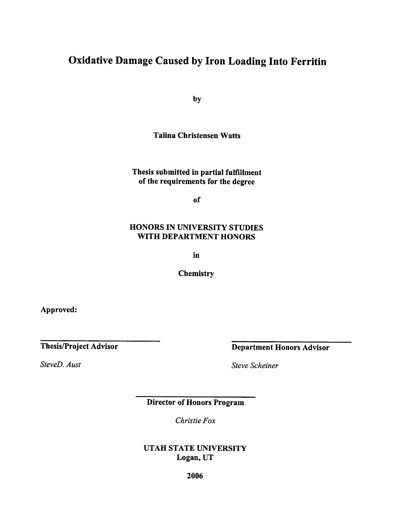# Oxidative Damage Caused by Iron Loading Into Ferritin

by

Talina Christensen Watts

Thesis submitted in partial fulfillment of the requirements for the degree

of

## **HONORS IN UNIVERSITY STUDIES WITH DEPARTMENT HONORS**

in

**Chemistry** 

Approved:

Thesis/Project Advisor

*SteveD. Aust* 

Department Honors Advisor

*Steve Scheiner* 

Director of Honors Program

*Christie Fox* 

UTAH STATE UNIVERSITY Logan, UT

2006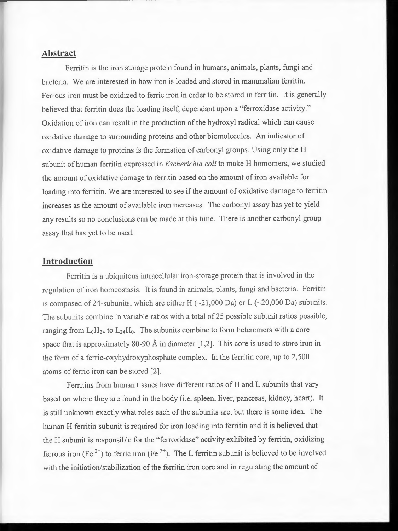### **Abstract**

Ferritin is the iron storage protein found in humans, animals, plants, fungi and bacteria. We are interested in how iron is loaded and stored in mammalian ferritin . Ferrous iron must be oxidized to ferric iron in order to be stored in ferritin. It is generally believed that ferritin does the loading itself, dependant upon a "ferroxidase activity." Oxidation of iron can result in the production of the hydroxyl radical which can cause oxidative damage to surrounding proteins and other biomolecules. An indicator of oxidative damage to proteins is the formation of carbonyl groups. Using only the H subunit of human ferritin expressed in *Escherichia coli* to make H homomers, we studied the amount of oxidative damage to ferritin based on the amount of iron available for loading into ferritin. We are interested to see if the amount of oxidative damage to ferritin increases as the amount of available iron increases. The carbonyl assay has yet to yield any results so no conclusions can be made at this time. There is another carbonyl group assay that has yet to be used.

## **Introduction**

Ferritin is a ubiquitous intracellular iron-storage protein that is involved in the regulation of iron homeostasis. It is found in animals, plants, fungi and bacteria. Ferritin is composed of 24-subunits, which are either H  $(\sim 21,000 \text{ Da})$  or L  $(\sim 20,000 \text{ Da})$  subunits. The subunits combine in variable ratios with a total of 25 possible subunit ratios possible, ranging from  $L_0H_{24}$  to  $L_24H_0$ . The subunits combine to form heteromers with a core space that is approximately 80-90 Å in diameter  $[1,2]$ . This core is used to store iron in the form of a ferric-oxyhydroxyphosphate complex. In the ferritin core, up to 2,500 atoms of ferric iron can be stored [2].

Ferritins from human tissues have different ratios of H and L subunits that vary based on where they are found in the body (i.e. spleen, liver, pancreas, kidney, heart). It is still unknown exactly what roles each of the subunits are, but there is some idea. The human H ferritin subunit is required for iron loading into ferritin and it is believed that the H subunit is responsible for the "ferroxidase" activity exhibited by ferritin, oxidizing ferrous iron (Fe<sup>2+</sup>) to ferric iron (Fe<sup>3+</sup>). The L ferritin subunit is believed to be involved with the initiation/stabilization of the ferritin iron core and in regulating the amount of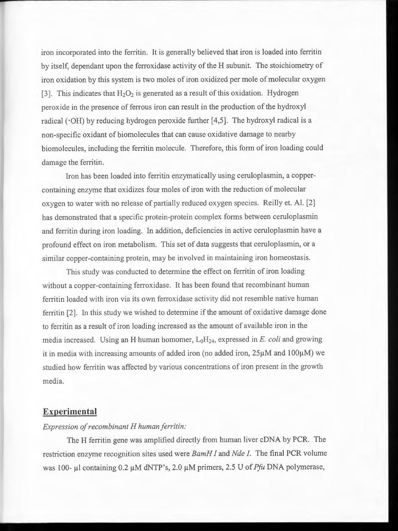iron incorporated into the ferritin. It is generally believed that iron is loaded into ferritin by itself, dependant upon the ferroxidase activity of the **H** subunit. The stoichiometry of iron oxidation by this system is two moles of iron oxidized per mole of molecular oxygen [3]. This indicates that  $H_2O_2$  is generated as a result of this oxidation. Hydrogen peroxide in the presence of ferrous iron can result in the production of the hydroxyl radical ( $\cdot$ OH) by reducing hydrogen peroxide further [4,5]. The hydroxyl radical is a non-specific oxidant of biomolecules that can cause oxidative damage to nearby biomolecules, including the ferritin molecule. Therefore, this form of iron loading could damage the ferritin.

Iron has been loaded into ferritin enzymatically using ceruloplasmin , a coppercontaining enzyme that oxidizes four moles of iron with the reduction of molecular oxygen to water with no release of partially reduced oxygen species. Reilly et. Al. [2] has demonstrated that a specific protein-protein complex forms between ceruloplasmin and ferritin during iron loading. In addition, deficiencies in active ceruloplasmin have a profound effect on iron metabolism. This set of data suggests that ceruloplasmin, or a similar copper-containing protein, may be involved in maintaining iron homeostasis.

This study was conducted to determine the effect on ferritin of iron loading without a copper-containing ferroxidase. It has been found that recombinant human ferritin loaded with iron via its own ferroxidase activity did not resemble native human ferritin [2]. In this study we wished to determine if the amount of oxidative damage done to ferritin as a result of iron loading increased as the amount of available iron in the media increased. Using an H human homomer,  $L_0H_{24}$ , expressed in *E. coli* and growing it in media with increasing amounts of added iron (no added iron, 25µM and l00µM) we studied how ferritin was affected by various concentrations of iron present in the growth media.

## **Experimental**

#### *Expression of recombinant H human ferritin:*

The **H** ferritin gene was amplified directly from human liver cDNA by PCR. The restriction enzyme recognition sites used were *BamH I* and *Nde I.* The final PCR volume was 100- <sup>µ</sup>I containing 0.2 µM dNTP's, 2.0 µM primers, 2.5 U of *Pfu* DNA polymerase,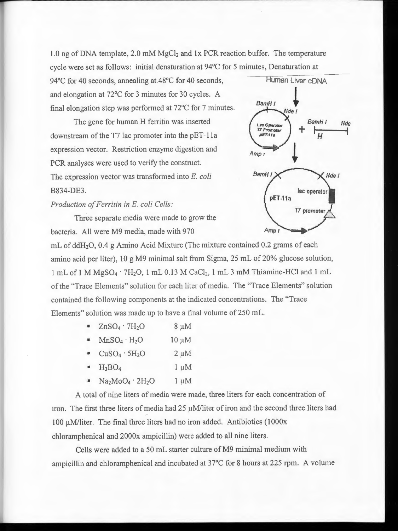1.0 ng of DNA template, 2.0 mM MgCl<sub>2</sub> and 1x PCR reaction buffer. The temperature cycle were set as follows: initial denaturation at 94°C for 5 minutes, Denaturation at

94°C for 40 seconds, annealing at 48°C for 40 seconds, and elongation at 72°C for 3 minutes for 30 cycles. A final elongation step was performed at 72°C for 7 minutes.

The gene for human H ferritin was inserted downstream of the T7 lac promoter into the pET-11a expression vector. Restriction enzyme digestion and PCR analyses were used to verify the construct. The expression vector was transformed into *E. coli*  B834-DE3.

## *Production of Ferritin in* E. *coli Cells:*

Three separate media were made to grow the bacteria. All were M9 media, made with 970



mL of ddH2O, 0.4 g Amino Acid Mixture (The mixture contained 0.2 grams of each amino acid per liter), 10 g M9 minimal salt from Sigma, 25 mL of 20% glucose solution, 1 mL of 1 M MgSO<sub>4</sub> · 7H<sub>2</sub>O, 1 mL 0.13 M CaCl<sub>2</sub>, 1 mL 3 mM Thiamine-HCl and 1 mL of the "Trace Elements" solution for each liter of media. The "Trace Elements" solution contained the following components at the indicated concentrations. The "Trace Elements" solution was made up to have a final volume of 250 mL.

| 覆 | $ZnSO4 \cdot 7H2O$ |  | $8 \mu M$ |
|---|--------------------|--|-----------|
|   |                    |  |           |

| $MnSO4 \cdot H2O$ | $10 \mu M$ |
|-------------------|------------|
|                   |            |

- $CuSO_4 \cdot 5H_2O$  2  $\mu$ M
- $H_3BO_4$  1 µM
- $Na<sub>2</sub>MoO<sub>4</sub> \cdot 2H<sub>2</sub>O$  l µM

A total of nine liters of media were made, three liters for each concentration of iron. The first three liters of media had  $25 \mu$ M/liter of iron and the second three liters had 100  $\mu$ M/liter. The final three liters had no iron added. Antibiotics (1000x chloramphenical and 2000x ampicillin) were added to all nine liters.

Cells were added to a 50 mL starter culture of M9 minimal medium with ampicillin and chloramphenical and incubated at 37°C for 8 hours at 225 rpm. A volume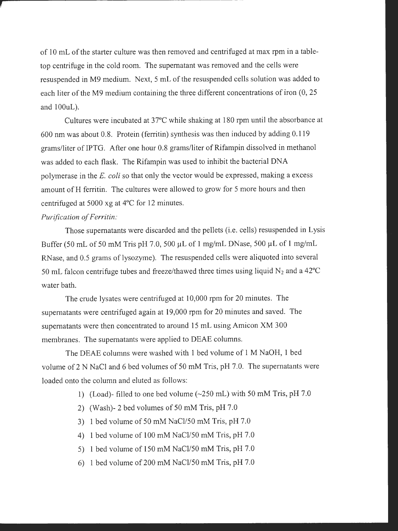of 10 mL of the starter culture was then removed and centrifuged at max rpm in a tabletop centrifuge in the cold room. The supernatant was removed and the cells were resuspended in M9 medium. Next, 5 mL of the resuspended cells solution was added to each liter of the M9 medium containing the three different concentrations of iron (0, 25 and 100uL).

Cultures were incubated at 37°C while shaking at 180 rpm until the absorbance at 600 nm was about 0.8. Protein (ferritin) synthesis was then induced by adding 0.119 grams/liter of IPTG. After one hour 0.8 grams/liter of Rifampin dissolved in methanol was added to each flask. The Rifampin was used to inhibit the bacterial DNA polymerase in the *E. coli* so that only the vector would be expressed, making a excess amount of H ferritin. The cultures were allowed to grow for 5 more hours and then centrifuged at 5000 xg at 4°C for 12 minutes.

## *Purifi cation of Ferritin :*

Those supematants were discarded and the pellets (i.e . cells) resuspended in Lysis Buffer (50 mL of 50 mM Tris pH 7.0, 500 µL of **1** mg/mL DNase, 500 µL of **1** mg/mL RNase, and 0.5 grams of lysozyme). The resuspended cells were aliquoted into several 50 mL falcon centrifuge tubes and freeze/thawed three times using liquid  $N_2$  and a 42<sup>o</sup>C water bath.

The crude lysates were centrifuged at 10,000 rpm for 20 minutes. The supematants were centrifuged again at 19,000 rpm for 20 minutes and saved. The supematants were then concentrated to around 15 mL using Amicon XM 300 membranes. The supematants were applied to DEAE columns.

The DEAE columns were washed with 1 bed volume of 1 M NaOH, 1 bed volume of 2 N NaCl and 6 bed volumes of 50 mM Tris, pH 7 .0. The supernatants were loaded onto the column and eluted as follows:

- 1) (Load)- filled to one bed volume  $(\sim 250 \text{ mL})$  with 50 mM Tris, pH 7.0
- 2) (Wash)- 2 bed volumes of 50 mM Tris, pH 7.0
- 3) 1 bed volume of 50 mM NaCl/50 mM Tris, pH 7.0
- 4) 1 bed volume of 100 mM NaCl/50 mM Tris, pH 7.0
- 5) 1 bed volume of 150 mM NaCl/50 mM Tris, pH 7.0
- 6) 1 bed volume of 200 mM NaCl/50 mM Tris, pH  $7.0$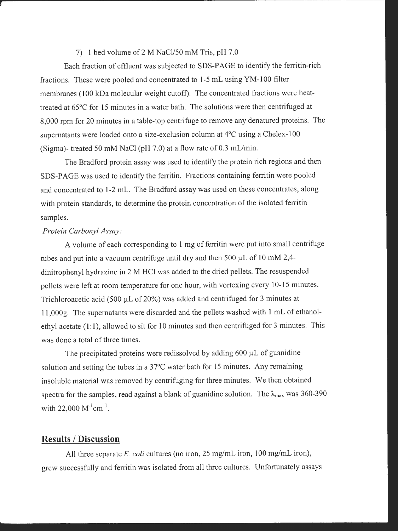### 7) **1** bed volume of 2 M NaCl/50 mM Tris, pH 7.0

Each fraction of effluent was subjected to SDS-PAGE to identify the ferritin-rich fractions. These were pooled and concentrated to 1-5 mL using YM-100 filter membranes (100 kDa molecular weight cutoff). The concentrated fractions were heattreated at 65°C for 15 minutes in a water bath. The solutions were then centrifuged at 8,000 rpm for 20 minutes in a table-top centrifuge to remove any denatured proteins. The supematants were loaded onto a size-exclusion column at 4°C using a Chelex-100 (Sigma)- treated 50 mM NaCl (pH 7.0) at a flow rate of 0.3 mL/min.

The Bradford protein assay was used to identify the protein rich regions and then SDS-PAGE was used to identify the ferritin. Fractions containing ferritin were pooled and concentrated to 1-2 mL. The Bradford assay was used on these concentrates, along with protein standards, to determine the protein concentration of the isolated ferritin samples.

## *Protein Carbonyl Assay:*

A volume of each corresponding to **1** mg of ferritin were put into small centrifuge tubes and put into a vacuum centrifuge until dry and then 500 µL of 10 mM 2,4 dinitrophenyl hydrazine in 2 M HCl was added to the dried pellets. The resuspended pellets were left at room temperature for one hour, with vortexing every 10-15 minutes. Trichloroacetic acid (500 µL of 20%) was added and centrifuged for 3 minutes at 11,000g . The supernatants were discarded and the pellets washed with **1** mL of ethanolethyl acetate ( **1: 1** ), allowed to sit for 10 minutes and then centrifuged for 3 minutes. This was done a total of three times.

The precipitated proteins were redissolved by adding  $600 \mu L$  of guanidine solution and setting the tubes in a  $37^{\circ}$ C water bath for 15 minutes. Any remaining insoluble material was removed by centrifuging for three minutes. We then obtained spectra for the samples, read against a blank of guanidine solution. The  $\lambda_{\text{max}}$  was 360-390 with 22,000  $M^{-1}$ cm<sup>-1</sup>.

## **Results/ Discussion**

All three separate E. coli cultures (no iron, 25 mg/mL iron, 100 mg/mL iron), grew successfully and ferritin was isolated from all three cultures. Unfortunately assays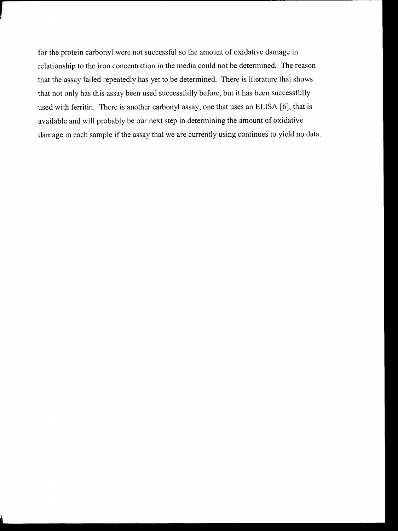for the protein carbonyl were not successful so the amount of oxidative damage in relationship to the iron concentration in the media could not be determined. The reason that the assay failed repeatedly has yet to be determined. There is literature that shows that not only has this assay been used successfully before, but it has been successfully used with ferritin. There is another carbonyl assay, one that uses an ELISA [6], that is available and will probably be our next step in determining the amount of oxidative damage in each sample if the assay that we are currently using continues to yield no data.